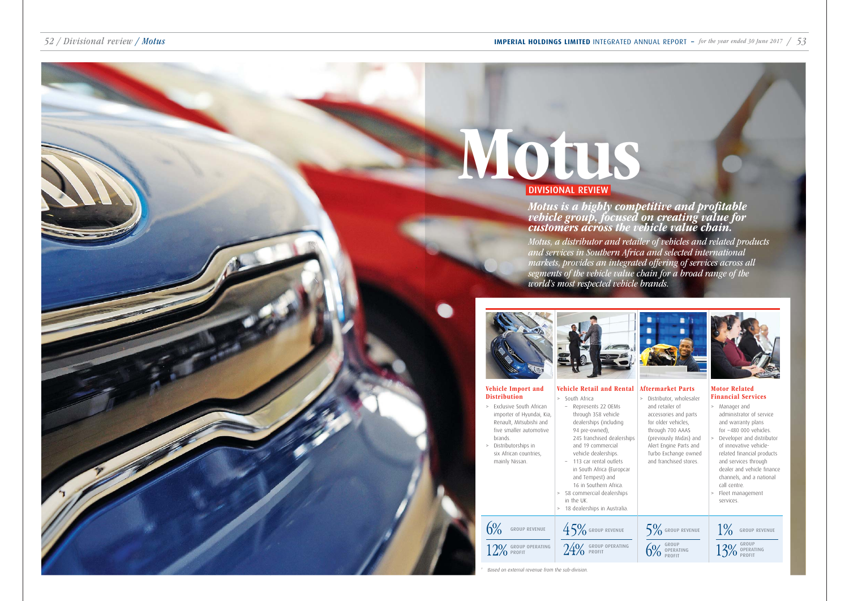### 52 / Divisional review / Motus **IMPERIAL HOLDINGS LIMITED** INTEGRATED ANNUAL REPORT **–** for the year ended 30 June 2017 / 53

# Motus is a highly competitive and profitable vehicle group, focused on creating value for customers across the vehicle value chain.

# Motus DIVISIONAL REVIEW

### Vehicle Retail and Rental  $\sim$  South Africa

*Motus, a distributor and retailer of vehicles and related products and services in Southern Africa and selected international markets, provides an integrated offering of services across all segments of the vehicle value chain for a broad range of the world's most respected vehicle brands.* 



Vehicle Import and

| <b>Distribution</b>                                                                                                                                                                                          | South Africa<br>$\geq$                                                                                                                                                                                                                                                                                                                                                 |  |  |  |  |  |
|--------------------------------------------------------------------------------------------------------------------------------------------------------------------------------------------------------------|------------------------------------------------------------------------------------------------------------------------------------------------------------------------------------------------------------------------------------------------------------------------------------------------------------------------------------------------------------------------|--|--|--|--|--|
| Exclusive South African<br>$\geq$<br>importer of Hyundai, Kia,<br>Renault, Mitsubishi and<br>five smaller automotive<br>brands.<br>Distributorships in<br>$\geq$<br>six African countries,<br>mainly Nissan. | Represents 22 OEMs<br>through 358 vehicle<br>dealerships (including<br>94 pre-owned),<br>245 franchised dealerships<br>and 19 commercial<br>vehicle dealerships.<br>113 car rental outlets<br>in South Africa (Europcar<br>and Tempest) and<br>16 in Southern Africa.<br>58 commercial dealerships<br>$\geq$<br>in the UK.<br>18 dealerships in Australia.<br>$\rm{>}$ |  |  |  |  |  |
| <b>GROUP REVENUE</b><br>ROUP OPERATING                                                                                                                                                                       | 45%<br><b>GROUP REVENUE</b><br><b>OUP OPERATING</b>                                                                                                                                                                                                                                                                                                                    |  |  |  |  |  |

Based on external revenue from the sub-division.

 $5\%$  group revenue GROUP OPERATING PROFIT

#### Aftermarket Parts

> Distributor, wholesaler and retailer of accessories and parts for older vehicles, through 700 AAAS (previously Midas) and Alert Engine Parts and Turbo Exchange owned and franchised stores.

#### Motor Related Financial Services

- > Manager and administrator of service and warranty plans for ~480 000 vehicles.
- Developer and distributor of innovative vehiclerelated financial products and services through dealer and vehicle finance channels, and a national call centre.
- Fleet management services.

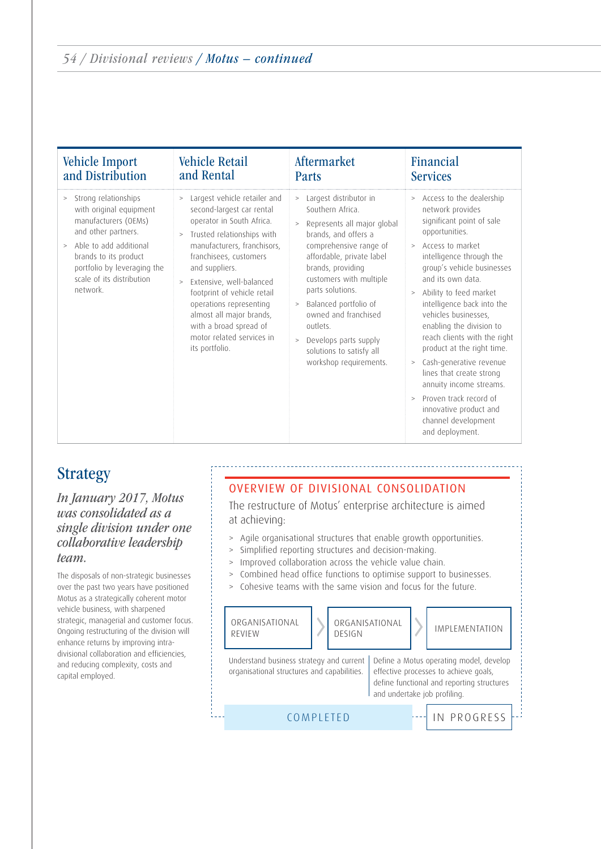| <b>Vehicle Import</b>                                                                                                                                                                                                                 | <b>Vehicle Retail</b>                                                                                                                                                                                                                                                                                                                                                                                               | Aftermarket                                                                                                                                                                                                                                                                                                                                                                                                 | Financial                                                                                                                                                                                                                                                                                                                                                                                                                                                                                                                                                                                            |
|---------------------------------------------------------------------------------------------------------------------------------------------------------------------------------------------------------------------------------------|---------------------------------------------------------------------------------------------------------------------------------------------------------------------------------------------------------------------------------------------------------------------------------------------------------------------------------------------------------------------------------------------------------------------|-------------------------------------------------------------------------------------------------------------------------------------------------------------------------------------------------------------------------------------------------------------------------------------------------------------------------------------------------------------------------------------------------------------|------------------------------------------------------------------------------------------------------------------------------------------------------------------------------------------------------------------------------------------------------------------------------------------------------------------------------------------------------------------------------------------------------------------------------------------------------------------------------------------------------------------------------------------------------------------------------------------------------|
| and Distribution                                                                                                                                                                                                                      | and Rental                                                                                                                                                                                                                                                                                                                                                                                                          | Parts                                                                                                                                                                                                                                                                                                                                                                                                       | <b>Services</b>                                                                                                                                                                                                                                                                                                                                                                                                                                                                                                                                                                                      |
| > Strong relationships<br>with original equipment<br>manufacturers (OEMs)<br>and other partners.<br>Able to add additional<br>$\geq$<br>brands to its product<br>portfolio by leveraging the<br>scale of its distribution<br>network. | Largest vehicle retailer and<br>><br>second-largest car rental<br>operator in South Africa.<br>Trusted relationships with<br>$\geq$<br>manufacturers, franchisors,<br>franchisees, customers<br>and suppliers.<br>Extensive, well-balanced<br>$\geq$<br>footprint of vehicle retail<br>operations representing<br>almost all major brands,<br>with a broad spread of<br>motor related services in<br>its portfolio. | Largest distributor in<br>><br>Southern Africa.<br>Represents all major global<br>$\geq$<br>brands, and offers a<br>comprehensive range of<br>affordable, private label<br>brands, providing<br>customers with multiple<br>parts solutions.<br>Balanced portfolio of<br>$\, >$<br>owned and franchised<br>outlets.<br>Develops parts supply<br>$\geq$<br>solutions to satisfy all<br>workshop requirements. | > Access to the dealership<br>network provides<br>significant point of sale<br>opportunities.<br>Access to market<br>$\geq$<br>intelligence through the<br>group's vehicle businesses<br>and its own data.<br>Ability to feed market<br>$\geq$<br>intelligence back into the<br>vehicles businesses,<br>enabling the division to<br>reach clients with the right<br>product at the right time.<br>Cash-generative revenue<br>$\rm{>}$<br>lines that create strong<br>annuity income streams.<br>Proven track record of<br>$\geq$<br>innovative product and<br>channel development<br>and deployment. |

# Strategy

*In January 2017, Motus was consolidated as a single division under one collaborative leadership team.*

The disposals of non-strategic businesses over the past two years have positioned Motus as a strategically coherent motor vehicle business, with sharpened strategic, managerial and customer focus. Ongoing restructuring of the division will enhance returns by improving intradivisional collaboration and efficiencies, and reducing complexity, costs and capital employed.

## OVERVIEW OF DIVISIONAL CONSOLIDATION

The restructure of Motus' enterprise architecture is aimed at achieving:

- > Agile organisational structures that enable growth opportunities.
- > Simplified reporting structures and decision-making.
- > Improved collaboration across the vehicle value chain.
- > Combined head office functions to optimise support to businesses.
- > Cohesive teams with the same vision and focus for the future.

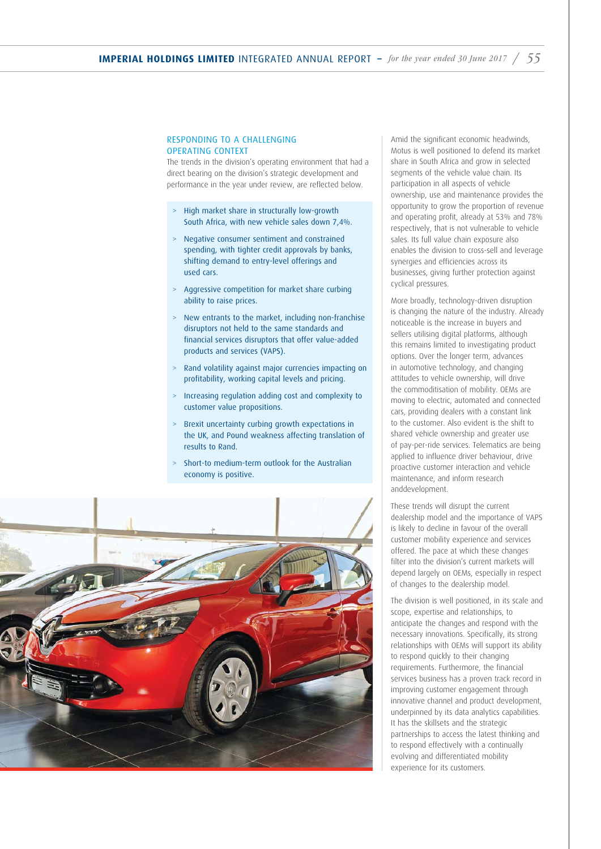#### RESPONDING TO A CHALLENGING OPERATING CONTEXT

The trends in the division's operating environment that had a direct bearing on the division's strategic development and performance in the year under review, are reflected below.

- > High market share in structurally low-growth South Africa, with new vehicle sales down 7,4%.
- > Negative consumer sentiment and constrained spending, with tighter credit approvals by banks, shifting demand to entry-level offerings and used cars.
- > Aggressive competition for market share curbing ability to raise prices.
- > New entrants to the market, including non-franchise disruptors not held to the same standards and financial services disruptors that offer value-added products and services (VAPS).
- > Rand volatility against major currencies impacting on profitability, working capital levels and pricing.
- > Increasing regulation adding cost and complexity to customer value propositions.
- > Brexit uncertainty curbing growth expectations in the UK, and Pound weakness affecting translation of results to Rand.
- > Short-to medium-term outlook for the Australian economy is positive.



Amid the significant economic headwinds, Motus is well positioned to defend its market share in South Africa and grow in selected segments of the vehicle value chain. Its participation in all aspects of vehicle ownership, use and maintenance provides the opportunity to grow the proportion of revenue and operating profit, already at 53% and 78% respectively, that is not vulnerable to vehicle sales. Its full value chain exposure also enables the division to cross-sell and leverage synergies and efficiencies across its businesses, giving further protection against cyclical pressures.

More broadly, technology-driven disruption is changing the nature of the industry. Already noticeable is the increase in buyers and sellers utilising digital platforms, although this remains limited to investigating product options. Over the longer term, advances in automotive technology, and changing attitudes to vehicle ownership, will drive the commoditisation of mobility. OEMs are moving to electric, automated and connected cars, providing dealers with a constant link to the customer. Also evident is the shift to shared vehicle ownership and greater use of pay-per-ride services. Telematics are being applied to influence driver behaviour, drive proactive customer interaction and vehicle maintenance, and inform research anddevelopment.

These trends will disrupt the current dealership model and the importance of VAPS is likely to decline in favour of the overall customer mobility experience and services offered. The pace at which these changes filter into the division's current markets will depend largely on OEMs, especially in respect of changes to the dealership model.

The division is well positioned, in its scale and scope, expertise and relationships, to anticipate the changes and respond with the necessary innovations. Specifically, its strong relationships with OEMs will support its ability to respond quickly to their changing requirements. Furthermore, the financial services business has a proven track record in improving customer engagement through innovative channel and product development, underpinned by its data analytics capabilities. It has the skillsets and the strategic partnerships to access the latest thinking and to respond effectively with a continually evolving and differentiated mobility experience for its customers.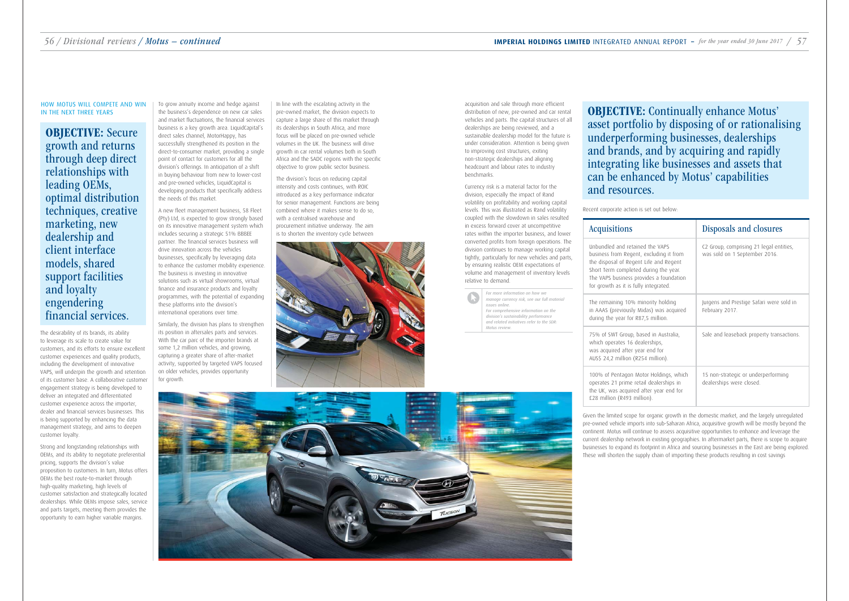The desirability of its brands, its ability to leverage its scale to create value for customers, and its efforts to ensure excellent customer experiences and quality products, including the development of innovative VAPS, will underpin the growth and retention of its customer base. A collaborative customer engagement strategy is being developed to deliver an integrated and differentiated customer experience across the importer, dealer and financial services businesses. This is being supported by enhancing the data management strategy, and aims to deepen customer loyalty.

Strong and longstanding relationships with OEMs, and its ability to negotiate preferential pricing, supports the division's value proposition to customers. In turn, Motus offers OEMs the best route-to-market through high-quality marketing, high levels of customer satisfaction and strategically located dealerships. While OEMs impose sales, service and parts targets, meeting them provides the opportunity to earn higher variable margins.

OBJECTIVE: Secure growth and returns through deep direct relationships with leading OEMs, optimal distribution techniques, creative marketing, new dealership and client interface models, shared support facilities and loyalty engendering financial services.

In line with the escalating activity in the pre-owned market, the division expects to capture a large share of this market through its dealerships in South Africa, and more focus will be placed on pre-owned vehicle volumes in the UK. The business will drive growth in car rental volumes both in South Africa and the SADC regions with the specific objective to grow public sector business.

# IN THE NEXT THREE YEARS TO SUCK THAT THE NEW YOUR SERVERT AND WITH THE NEW YOUR MOTUS' IN THE WAT ALLOWS THE MOTUS' IN THE NEXT THREE YEARS TO DESCRIPT THE MANY AND TO SUCK AND THE NEW YOUR MOTOR MOTUS' IN THE NEXT THREE Y asset portfolio by disposing of or rationalising underperforming businesses, dealerships and brands, and by acquiring and rapidly integrating like businesses and assets that can be enhanced by Motus' capabilities

The division's focus on reducing capital intensity and costs continues, with ROIC introduced as a key performance indicator for senior management. Functions are being combined where it makes sense to do so, with a centralised warehouse and procurement initiative underway. The aim is to shorten the inventory cycle between



acquisition and sale through more efficient distribution of new, pre-owned and car rental vehicles and parts. The capital structures of all dealerships are being reviewed, and a sustainable dealership model for the future is under consideration. Attention is being given to improving cost structures, exiting non-strategic dealerships and aligning headcount and labour rates to industry benchmarks.

Currency risk is a material factor for the division, especially the impact of Rand volatility on profitability and working capital levels. This was illustrated as Rand volatility coupled with the slowdown in sales resulted in excess forward cover at uncompetitive rates within the importer business, and lower converted profits from foreign operations. The division continues to manage working capital tightly, particularly for new vehicles and parts, by ensuring realistic OEM expectations of volume and management of inventory levels relative to demand.

*For more information on how we manage currency risk, see our full material issues online. For comprehensive information on the* 

*division's sustainability performance and related initiatives refer to the SDR: Motus review.*

# HOW MOTUS WILL COMPETE AND WIN



Recent corporate action is set out below:

### **Acquisitions**

Unbundled and retain business from Regent the disposal of Regent Short Term completed The VAPS business pro for growth as it is fully

The remaining 10% m in AAAS (previously M during the year for R87

75% of SWT Group, ba which operates 16 dea was acquired after year AUS\$ 24,2 million (R25

100% of Pentagon Mo operates 21 prime reta the UK, was acquired £28 million (R493 mill

|                                                                                                                    | Disposals and closures                                                   |
|--------------------------------------------------------------------------------------------------------------------|--------------------------------------------------------------------------|
| ed the VAPS<br>, excluding it from<br>t Life and Regent<br>during the year.<br>vides a foundation<br>y integrated. | C2 Group, comprising 21 legal entities,<br>was sold on 1 September 2016. |
| inority holding<br>lidas) was acquired<br>7,5 million.                                                             | Jurgens and Prestige Safari were sold in<br>February 2017.               |
| ised in Australia,<br>alerships,<br>ar end for<br>54 million).                                                     | Sale and leaseback property transactions.                                |
| otor Holdings, which<br>ail dealerships in<br>after year end for<br>lion).                                         | 15 non-strategic or underperforming<br>dealerships were closed.          |

Given the limited scope for organic growth in the domestic market, and the largely unregulated pre-owned vehicle imports into sub-Saharan Africa, acquisitive growth will be mostly beyond the continent. Motus will continue to assess acquisitive opportunities to enhance and leverage the current dealership network in existing geographies. In aftermarket parts, there is scope to acquire businesses to expand its footprint in Africa and sourcing businesses in the East are being explored. These will shorten the supply chain of importing these products resulting in cost savings



To grow annuity income and hedge against the business's dependence on new car sales and market fluctuations, the financial services business is a key growth area. LiquidCapital's direct sales channel, MotorHappy, has successfully strengthened its position in the direct-to-consumer market, providing a single point of contact for customers for all the division's offerings. In anticipation of a shift in buying behaviour from new to lower-cost and pre-owned vehicles, LiquidCapital is developing products that specifically address the needs of this market.

A new fleet management business, 58 Fleet (Pty) Ltd, is expected to grow strongly based on its innovative management system which includes securing a strategic 51% BBBEE partner. The financial services business will drive innovation across the vehicles businesses, specifically by leveraging data to enhance the customer mobility experience. The business is investing in innovative solutions such as virtual showrooms, virtual finance and insurance products and loyalty programmes, with the potential of expanding these platforms into the division's international operations over time.

Similarly, the division has plans to strengthen its position in aftersales parts and services. With the car parc of the importer brands at some 1,2 million vehicles, and growing, capturing a greater share of after-market activity, supported by targeted VAPS focused on older vehicles, provides opportunity for growth.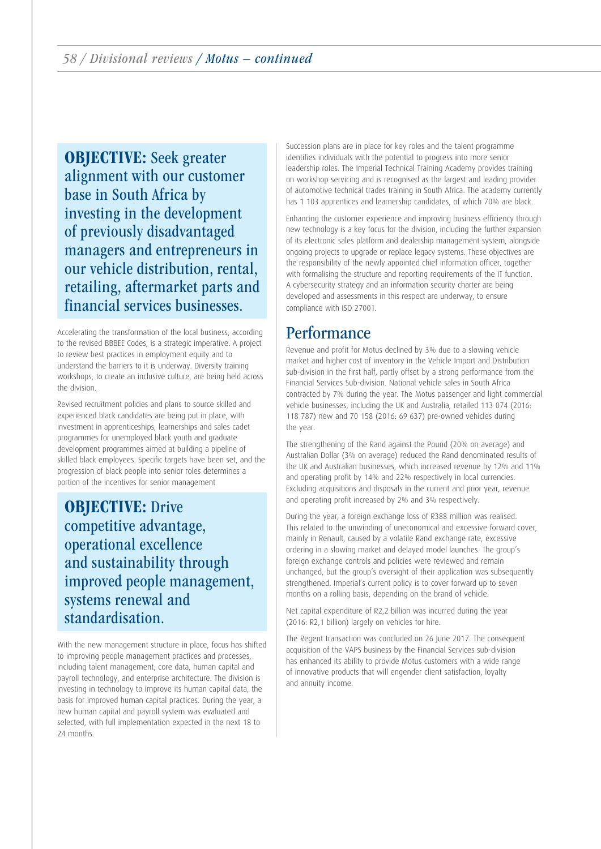OBJECTIVE: Seek greater alignment with our customer base in South Africa by investing in the development of previously disadvantaged managers and entrepreneurs in our vehicle distribution, rental, retailing, aftermarket parts and financial services businesses.

Accelerating the transformation of the local business, according to the revised BBBEE Codes, is a strategic imperative. A project to review best practices in employment equity and to understand the barriers to it is underway. Diversity training workshops, to create an inclusive culture, are being held across the division.

Revised recruitment policies and plans to source skilled and experienced black candidates are being put in place, with investment in apprenticeships, learnerships and sales cadet programmes for unemployed black youth and graduate development programmes aimed at building a pipeline of skilled black employees. Specific targets have been set, and the progression of black people into senior roles determines a portion of the incentives for senior management

OBJECTIVE: Drive competitive advantage, operational excellence and sustainability through improved people management, systems renewal and standardisation.

With the new management structure in place, focus has shifted to improving people management practices and processes, including talent management, core data, human capital and payroll technology, and enterprise architecture. The division is investing in technology to improve its human capital data, the basis for improved human capital practices. During the year, a new human capital and payroll system was evaluated and selected, with full implementation expected in the next 18 to 24 months.

Succession plans are in place for key roles and the talent programme identifies individuals with the potential to progress into more senior leadership roles. The Imperial Technical Training Academy provides training on workshop servicing and is recognised as the largest and leading provider of automotive technical trades training in South Africa. The academy currently has 1 103 apprentices and learnership candidates, of which 70% are black.

Enhancing the customer experience and improving business efficiency through new technology is a key focus for the division, including the further expansion of its electronic sales platform and dealership management system, alongside ongoing projects to upgrade or replace legacy systems. These objectives are the responsibility of the newly appointed chief information officer, together with formalising the structure and reporting requirements of the IT function. A cybersecurity strategy and an information security charter are being developed and assessments in this respect are underway, to ensure compliance with ISO 27001.

# **Performance**

Revenue and profit for Motus declined by 3% due to a slowing vehicle market and higher cost of inventory in the Vehicle Import and Distribution sub-division in the first half, partly offset by a strong performance from the Financial Services Sub-division. National vehicle sales in South Africa contracted by 7% during the year. The Motus passenger and light commercial vehicle businesses, including the UK and Australia, retailed 113 074 (2016: 118 787) new and 70 158 (2016: 69 637) pre-owned vehicles during the year.

The strengthening of the Rand against the Pound (20% on average) and Australian Dollar (3% on average) reduced the Rand denominated results of the UK and Australian businesses, which increased revenue by 12% and 11% and operating profit by 14% and 22% respectively in local currencies. Excluding acquisitions and disposals in the current and prior year, revenue and operating profit increased by 2% and 3% respectively.

During the year, a foreign exchange loss of R388 million was realised. This related to the unwinding of uneconomical and excessive forward cover, mainly in Renault, caused by a volatile Rand exchange rate, excessive ordering in a slowing market and delayed model launches. The group's foreign exchange controls and policies were reviewed and remain unchanged, but the group's oversight of their application was subsequently strengthened. Imperial's current policy is to cover forward up to seven months on a rolling basis, depending on the brand of vehicle.

Net capital expenditure of R2,2 billion was incurred during the year (2016: R2,1 billion) largely on vehicles for hire.

The Regent transaction was concluded on 26 June 2017. The consequent acquisition of the VAPS business by the Financial Services sub-division has enhanced its ability to provide Motus customers with a wide range of innovative products that will engender client satisfaction, loyalty and annuity income.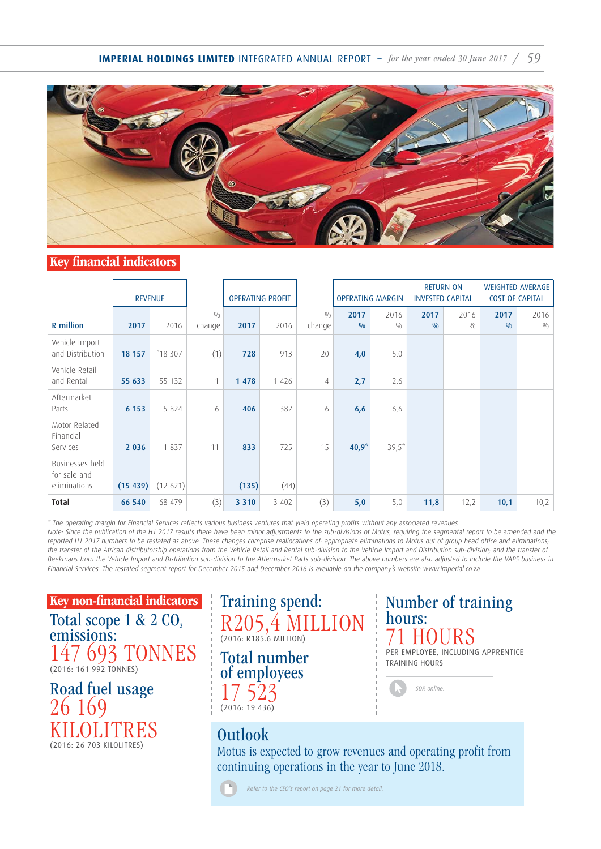**IMPERIAL HOLDINGS LIMITED** INTEGRATED ANNUAL REPORT – for the year ended 30 June 2017 / 59



# Key financial indicators

|                                                 | <b>REVENUE</b> |          |               | <b>OPERATING PROFIT</b><br><b>OPERATING MARGIN</b> |         |               | <b>RETURN ON</b><br><b>INVESTED CAPITAL</b> |             | <b>WEIGHTED AVERAGE</b><br><b>COST OF CAPITAL</b> |             |             |             |
|-------------------------------------------------|----------------|----------|---------------|----------------------------------------------------|---------|---------------|---------------------------------------------|-------------|---------------------------------------------------|-------------|-------------|-------------|
| <b>R</b> million                                | 2017           | 2016     | 0/0<br>change | 2017                                               | 2016    | 0/0<br>change | 2017<br>0/0                                 | 2016<br>0/0 | 2017<br>0/0                                       | 2016<br>0/0 | 2017<br>0/0 | 2016<br>0/0 |
| Vehicle Import<br>and Distribution              | 18 157         | 18 307   | (1)           | 728                                                | 913     | 20            | 4,0                                         | 5,0         |                                                   |             |             |             |
| Vehicle Retail<br>and Rental                    | 55 633         | 55 132   | 1             | 1 4 7 8                                            | 1 4 2 6 | 4             | 2,7                                         | 2,6         |                                                   |             |             |             |
| Aftermarket<br>Parts                            | 6 1 5 3        | 5 8 2 4  | 6             | 406                                                | 382     | 6             | 6,6                                         | 6,6         |                                                   |             |             |             |
| Motor Related<br>Financial<br>Services          | 2 0 3 6        | 1837     | 11            | 833                                                | 725     | 15            | $40,9^{*}$                                  | $39,5*$     |                                                   |             |             |             |
| Businesses held<br>for sale and<br>eliminations | (15 439)       | (12 621) |               | (135)                                              | (44)    |               |                                             |             |                                                   |             |             |             |
| <b>Total</b>                                    | 66 540         | 68 479   | (3)           | 3 3 1 0                                            | 3 4 0 2 | (3)           | 5,0                                         | 5,0         | 11,8                                              | 12,2        | 10,1        | 10,2        |

\* The operating margin for Financial Services reflects various business ventures that yield operating profits without any associated revenues. Note: Since the publication of the H1 2017 results there have been minor adjustments to the sub-divisions of Motus, requiring the segmental report to be amended and the reported H1 2017 numbers to be restated as above. These changes comprise reallocations of: appropriate eliminations to Motus out of group head office and eliminations; the transfer of the African distributorship operations from the Vehicle Retail and Rental sub-division to the Vehicle Import and Distribution sub-division; and the transfer of Beekmans from the Vehicle Import and Distribution sub-division to the Aftermarket Parts sub-division. The above numbers are also adjusted to include the VAPS business in Financial Services. The restated segment report for December 2015 and December 2016 is available on the company's website www.imperial.co.za.

Key non-financial indicators Total scope  $1 & 2 & CO<sub>2</sub>$ emissions: 147 693 TONNES (2016: 161 992 TONNES)

Road fuel usage 26 169 KILOLITRES (2016: 26 703 KILOLITRES)



Total number of employees 17 523 (2016: 19 436)

# Outlook

Motus is expected to grow revenues and operating profit from continuing operations in the year to June 2018.

*Refer to the CEO's report on page 21 for more detail.*

hours: 71 HOURS PER EMPLOYEE, INCLUDING APPRENTICE TRAINING HOURS

Number of training

| SDR online. |  |
|-------------|--|
|             |  |